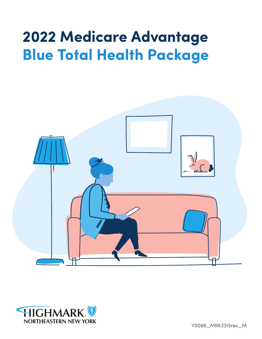# **2022 Medicare Advantage Blue Total Health Package**





Y0086\_MRK3315rev\_M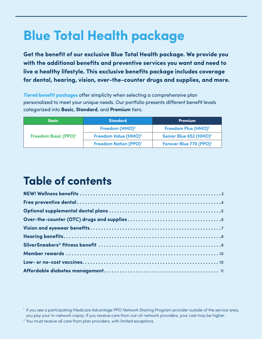# **Blue Total Health package**

**Get the benefit of our exclusive Blue Total Health package. We provide you with the additional benefits and preventive services you want and need to live a healthy lifestyle. This exclusive benefits package includes coverage for dental, hearing, vision, over-the-counter drugs and supplies, and more.**

**Tiered benefit packages** offer simplicity when selecting a comprehensive plan personalized to meet your unique needs. Our portfolio presents different benefit levels categorized into **Basic**, **Standard**, and **Premium** tiers.

| <b>Basic</b>                           | <b>Standard</b>                         | <b>Premium</b>                      |
|----------------------------------------|-----------------------------------------|-------------------------------------|
|                                        | Freedom (HMO) <sup>2</sup>              | Freedom Plus (HMO) <sup>2</sup>     |
| <b>Freedom Basic (PPO)<sup>1</sup></b> | Freedom Value (HMO) <sup>2</sup>        | Senior Blue 652 (HMO) <sup>2</sup>  |
|                                        | <b>Freedom Nation (PPO)<sup>1</sup></b> | Forever Blue 770 (PPO) <sup>1</sup> |

# **Table of contents**

<sup>1</sup> If you see a participating Medicare Advantage PPO Network Sharing Program provider outside of the service area, you pay your in-network copay. If you receive care from out-of-network providers, your cost may be higher.

<sup>&</sup>lt;sup>2</sup> You must receive all care from plan providers, with limited exceptions.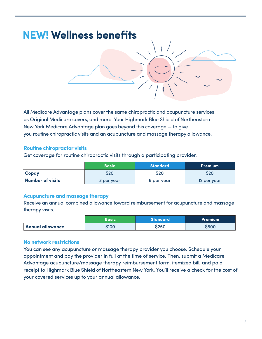

All Medicare Advantage plans cover the same chiropractic and acupuncture services as Original Medicare covers, and more. Your Highmark Blue Shield of Northeastern New York Medicare Advantage plan goes beyond this coverage — to give you routine chiropractic visits and an acupuncture and massage therapy allowance.

#### **Routine chiropractor visits**

Get coverage for routine chiropractic visits through a participating provider.

|                         | <b>Basic</b> | <b>Standard</b> | <b>Premium</b> |
|-------------------------|--------------|-----------------|----------------|
| Copay                   | <b>S20</b>   | S20             | S20            |
| <b>Number of visits</b> | 3 per year   | 6 per year      | 12 per year    |

#### **Acupuncture and massage therapy**

Receive an annual combined allowance toward reimbursement for acupuncture and massage therapy visits.

|                         | Basic. | <b>Standard</b> | <b>Premium</b> |
|-------------------------|--------|-----------------|----------------|
| <b>Annual allowance</b> | S100   | \$250           | <b>S500</b>    |

#### **No network restrictions**

You can see any acupuncture or massage therapy provider you choose. Schedule your appointment and pay the provider in full at the time of service. Then, submit a Medicare Advantage acupuncture/massage therapy reimbursement form, itemized bill, and paid receipt to Highmark Blue Shield of Northeastern New York. You'll receive a check for the cost of your covered services up to your annual allowance.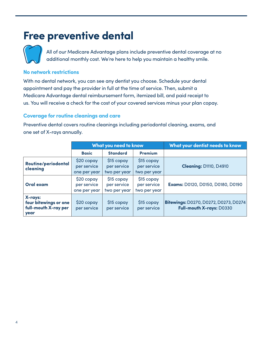### **Free preventive dental**



All of our Medicare Advantage plans include preventive dental coverage at no additional monthly cost. We're here to help you maintain a healthy smile.

#### **No network restrictions**

With no dental network, you can see any dentist you choose. Schedule your dental appointment and pay the provider in full at the time of service. Then, submit a Medicare Advantage dental reimbursement form, itemized bill, and paid receipt to us. You will receive a check for the cost of your covered services minus your plan copay.

#### **Coverage for routine cleanings and care**

Preventive dental covers routine cleanings including periodontal cleaning, exams, and one set of X-rays annually.

|                                                                  | <b>What you need to know</b>               |                                           |                                           | What your dentist needs to know                                   |
|------------------------------------------------------------------|--------------------------------------------|-------------------------------------------|-------------------------------------------|-------------------------------------------------------------------|
|                                                                  | <b>Basic</b>                               | <b>Standard</b>                           | <b>Premium</b>                            |                                                                   |
| <b>Routine/periodontal</b><br>cleaning                           | \$20 copay<br>per service<br>one per year  | \$15 copay<br>per service<br>two per year | \$15 copay<br>per service<br>two per year | <b>Cleaning: D1110, D4910</b>                                     |
| Oral exam                                                        | $$20$ copay<br>per service<br>one per year | \$15 copay<br>per service<br>two per year | \$15 copay<br>per service<br>two per year | Exams: D0120, D0150, D0180, D0190                                 |
| X-rays:<br>four bitewings or one<br>full-mouth X-ray per<br>year | \$20 copay<br>per service                  | \$15 copay<br>per service                 | \$15 copay<br>per service                 | Bitewings: D0270, D0272, D0273, D0274<br>Full-mouth X-rays: D0330 |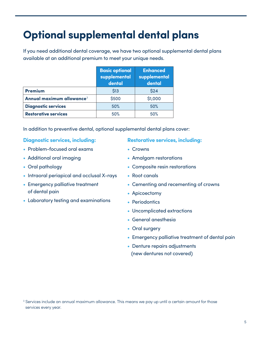# **Optional supplemental dental plans**

If you need additional dental coverage, we have two optional supplemental dental plans available at an additional premium to meet your unique needs.

|                                       | <b>Basic optional</b><br>supplemental<br>dental | <b>Enhanced</b><br>supplemental<br>dental |
|---------------------------------------|-------------------------------------------------|-------------------------------------------|
| <b>Premium</b>                        | \$13                                            | \$24                                      |
| Annual maximum allowance <sup>3</sup> | \$500                                           | \$1,000                                   |
| <b>Diagnostic services</b>            | 50%                                             | 50%                                       |
| <b>Restorative services</b>           | 50%                                             | 50%                                       |

In addition to preventive dental, optional supplemental dental plans cover:

#### **Diagnostic services, including:**

- Problem-focused oral exams
- Additional oral imaging
- Oral pathology
- Intraoral periapical and occlusal X-rays
- Emergency palliative treatment of dental pain
- Laboratory testing and examinations

#### **Restorative services, including:**

- Crowns
- Amalgam restorations
- Composite resin restorations
- Root canals
- Cementing and recementing of crowns
- Apicoectomy
- Periodontics
- Uncomplicated extractions
- General anesthesia
- Oral surgery
- Emergency palliative treatment of dental pain
- Denture repairs adjustments (new dentures not covered)

<sup>&</sup>lt;sup>3</sup> Services include an annual maximum allowance. This means we pay up until a certain amount for those services every year.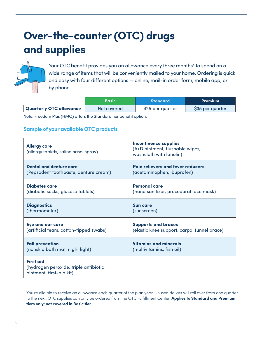# **Over-the-counter (OTC) drugs and supplies**



Your OTC benefit provides you an allowance every three months<sup>4</sup> to spend on a wide range of items that will be conveniently mailed to your home. Ordering is quick and easy with four different options — online, mail-in order form, mobile app, or by phone.

|                         | <b>Basic</b> | <b>Standard</b>  | Premium          |
|-------------------------|--------------|------------------|------------------|
| Quarterly OTC allowance | Not covered  | \$25 per quarter | \$35 per quarter |
|                         |              |                  |                  |

Note: Freedom Plus (HMO) offers the Standard tier benefit option.

#### **Sample of your available OTC products**

| <b>Allergy care</b><br>(allergy tablets, saline nasal spray)                          | <b>Incontinence supplies</b><br>(A+D ointment, flushable wipes,<br>washcloth with lanolin) |
|---------------------------------------------------------------------------------------|--------------------------------------------------------------------------------------------|
| <b>Dental and denture care</b>                                                        | <b>Pain relievers and fever reducers</b>                                                   |
| (Pepsodent toothpaste, denture cream)                                                 | (acetaminophen, ibuprofen)                                                                 |
| Diabetes care                                                                         | <b>Personal care</b>                                                                       |
| (diabetic socks, glucose tablets)                                                     | (hand sanitizer, procedural face mask)                                                     |
| <b>Diagnostics</b>                                                                    | <b>Sun care</b>                                                                            |
| (thermometer)                                                                         | (sunscreen)                                                                                |
| Eye and ear care                                                                      | <b>Supports and braces</b>                                                                 |
| (artificial tears, cotton-tipped swabs)                                               | (elastic knee support, carpal tunnel brace)                                                |
| <b>Fall prevention</b>                                                                | Vitamins and minerals                                                                      |
| (nonskid bath mat, night light)                                                       | (multivitamins, fish oil)                                                                  |
| <b>First aid</b><br>(hydrogen peroxide, triple antibiotic<br>ointment, first-aid kit) |                                                                                            |

 $4$  You're eligible to receive an allowance each quarter of the plan year. Unused dollars will roll over from one quarter to the next. OTC supplies can only be ordered from the OTC Fulfillment Center. **Applies to Standard and Premium tiers only; not covered in Basic tier**.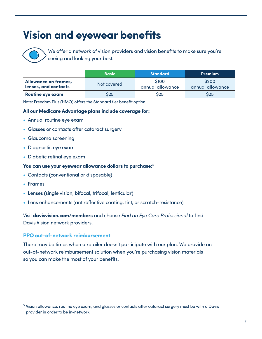## **Vision and eyewear benefits**



We offer a network of vision providers and vision benefits to make sure you're seeing and looking your best.

|                                              | <b>Basic</b> | <b>Standard</b>                 | <b>Premium</b>                  |
|----------------------------------------------|--------------|---------------------------------|---------------------------------|
| Allowance on frames,<br>lenses, and contacts | Not covered  | <b>S100</b><br>annual allowance | <b>S200</b><br>annual allowance |
| Routine eye exam                             | S25          | \$25                            | \$25                            |

Note: Freedom Plus (HMO) offers the Standard tier benefit option.

#### **All our Medicare Advantage plans include coverage for:**

- Annual routine eye exam
- Glasses or contacts after cataract surgery
- Glaucoma screening
- Diagnostic eye exam
- Diabetic retinal eye exam

#### **You can use your eyewear allowance dollars to purchase:**<sup>5</sup>

- Contacts (conventional or disposable)
- Frames
- Lenses (single vision, bifocal, trifocal, lenticular)
- Lens enhancements (antireflective coating, tint, or scratch-resistance)

Visit **davisvision.com/members** and choose *Find an Eye Care Professional* to find Davis Vision network providers.

#### **PPO out-of-network reimbursement**

There may be times when a retailer doesn't participate with our plan. We provide an out-of-network reimbursement solution when you're purchasing vision materials so you can make the most of your benefits.

 $^5$  Vision allowance, routine eye exam, and glasses or contacts after cataract surgery must be with a Davis provider in order to be in-network.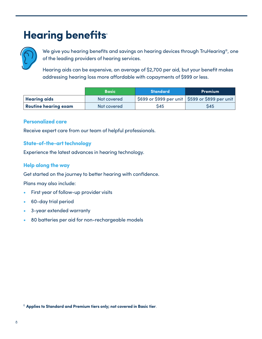# **Hearing benefits®**



We give you hearing benefits and savings on hearing devices through TruHearing®, one of the leading providers of hearing services.

Hearing aids can be expensive, an average of \$2,700 per aid, but your benefit makes addressing hearing loss more affordable with copayments of \$999 or less.

|                      | <b>Basic</b> | <b>Standard</b> | <b>Premium</b>                                    |
|----------------------|--------------|-----------------|---------------------------------------------------|
| <b>Hearing aids</b>  | Not covered  |                 | \$699 or \$999 per unit   \$599 or \$899 per unit |
| Routine hearing exam | Not covered  | S45             | S45                                               |

#### **Personalized care**

Receive expert care from our team of helpful professionals.

#### **State-of-the-art technology**

Experience the latest advances in hearing technology.

#### **Help along the way**

Get started on the journey to better hearing with confidence.

Plans may also include:

- First year of follow-up provider visits
- 60-day trial period
- 3-year extended warranty
- 80 batteries per aid for non-rechargeable models

<sup>6</sup> **Applies to Standard and Premium tiers only; not covered in Basic tier**.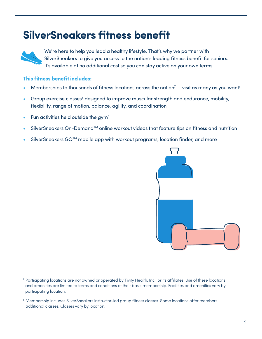### **SilverSneakers fitness benefit**



We're here to help you lead a healthy lifestyle. That's why we partner with SilverSneakers to give you access to the nation's leading fitness benefit for seniors. It's available at no additional cost so you can stay active on your own terms.

#### **This fitness benefit includes:**

- Memberships to thousands of fitness locations across the nation<sup>7</sup>  $-$  visit as many as you want!
- Group exercise classes<sup>8</sup> designed to improve muscular strength and endurance, mobility, flexibility, range of motion, balance, agility, and coordination
- Fun activities held outside the gym8
- SilverSneakers On-Demand™ online workout videos that feature tips on fitness and nutrition
- SilverSneakers GO™ mobile app with workout programs, location finder, and more



<sup>7</sup> Participating locations are not owned or operated by Tivity Health, Inc., or its affiliates. Use of these locations and amenities are limited to terms and conditions of their basic membership. Facilities and amenities vary by participating location.

<sup>8</sup> Membership includes SilverSneakers instructor-led group fitness classes. Some locations offer members additional classes. Classes vary by location.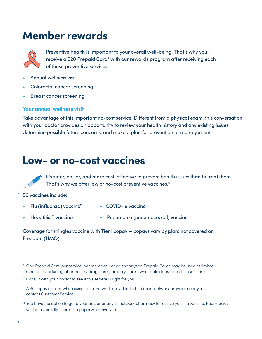### **Member rewards**



Preventive health is important to your overall well-being. That's why you'll receive a \$20 Prepaid Card<sup>9</sup> with our rewards program after receiving each of these preventive services:

- Annual wellness visit
- Colorectal cancer screening<sup>10</sup>
- Breast cancer screening<sup>10</sup>

#### **Your annual wellness visit**

Take advantage of this important no-cost service! Different from a physical exam, this conversation with your doctor provides an opportunity to review your health history and any existing issues, determine possible future concerns, and make a plan for prevention or management.

### **Low- or no-cost vaccines**

It's safer, easier, and more cost-effective to prevent health issues than to treat them. That's why we offer low or no-cost preventive vaccines.<sup>11</sup>

\$0 vaccines include:

- Flu (influenza) vaccine<sup>12</sup> COVID-19 vaccine
- 
- Hepatitis B vaccine Pneumonia (pneumococcal) vaccine

Coverage for shingles vaccine with Tier 1 copay — copays vary by plan; not covered on Freedom (HMO).

- <sup>10</sup> Consult with your doctor to see if this service is right for you.
- <sup>11</sup> A \$0 copay applies when using an in-network provider. To find an in-network provider near you, contact Customer Service.
- $12$  You have the option to go to your doctor or any in-network pharmacy to receive your flu vaccine. Pharmacies will bill us directly; there's no paperwork involved.

<sup>&</sup>lt;sup>9</sup> One Prepaid Card per service, per member, per calendar year. Prepaid Cards may be used at limited merchants including pharmacies, drug stores, grocery stores, wholesale clubs, and discount stores.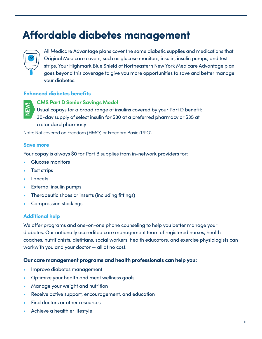### **Affordable diabetes management**



All Medicare Advantage plans cover the same diabetic supplies and medications that Original Medicare covers, such as glucose monitors, insulin, insulin pumps, and test strips. Your Highmark Blue Shield of Northeastern New York Medicare Advantage plan goes beyond this coverage to give you more opportunities to save and better manage your diabetes.

#### **Enhanced diabetes benefits**



**CMS Part D Senior Savings Model**

Usual copays for a broad range of insulins covered by your Part D benefit: 30-day supply of select insulin for \$30 at a preferred pharmacy or \$35 at a standard pharmacy

Note: Not covered on Freedom (HMO) or Freedom Basic (PPO).

#### **Save more**

Your copay is always \$0 for Part B supplies from in-network providers for:

- Glucose monitors
- Test strips
- **Lancets**
- **External insulin pumps**
- Therapeutic shoes or inserts (including fittings)
- Compression stockings

#### **Additional help**

We offer programs and one-on-one phone counseling to help you better manage your diabetes. Our nationally accredited care management team of registered nurses, health coaches, nutritionists, dietitians, social workers, health educators, and exercise physiologists can workwith you and your doctor — all at no cost. **Example 20**<br>
Usual copays for a broad<br>
30-day supply of select in<br>
a standard pharmacy<br>
Note: Not covered on Freedom (H.<br> **Save more**<br>
Your copay is always \$0 for Pare<br>
Clucose monitors<br>
• Test strips<br>
• Lancets<br>
• Extern

#### **Our care management programs and health professionals can help you:**

- Improve diabetes management
- Optimize your health and meet wellness goals
- Manage your weight and nutrition
- Receive active support, encouragement, and education
- Find doctors or other resources
-